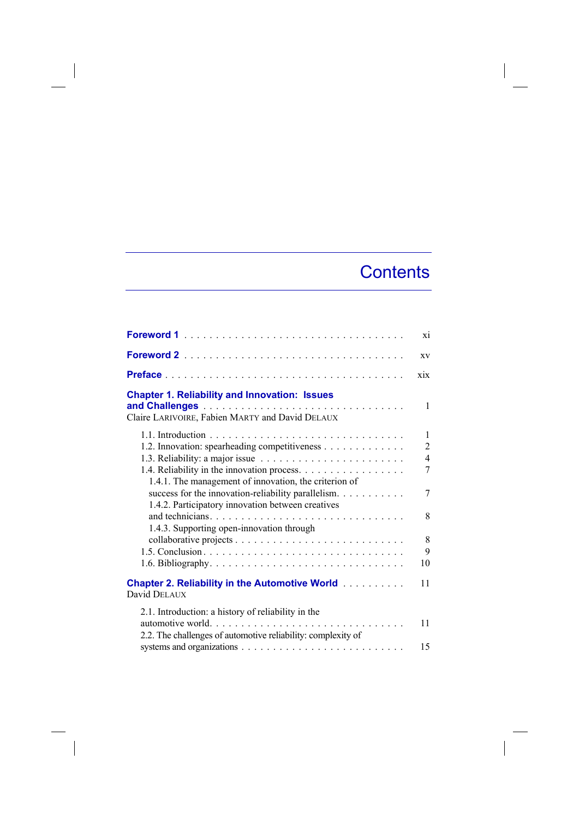## **Contents**

 $\overline{\phantom{a}}$ 

|                                                                                                                                        | X1                                               |
|----------------------------------------------------------------------------------------------------------------------------------------|--------------------------------------------------|
|                                                                                                                                        | XV                                               |
|                                                                                                                                        | xix                                              |
| <b>Chapter 1. Reliability and Innovation: Issues</b><br>Claire LARIVOIRE, Fabien MARTY and David DELAUX                                | 1                                                |
| 1.2. Innovation: spearheading competitiveness                                                                                          | $\mathbf{1}$<br>$\overline{2}$<br>$\overline{4}$ |
| 1.4.1. The management of innovation, the criterion of                                                                                  | 7                                                |
| success for the innovation-reliability parallelism.<br>1.4.2. Participatory innovation between creatives                               | 7                                                |
| 1.4.3. Supporting open-innovation through                                                                                              | 8                                                |
|                                                                                                                                        | 8                                                |
|                                                                                                                                        | 9                                                |
|                                                                                                                                        | 10                                               |
| <b>Chapter 2. Reliability in the Automotive World</b><br>David DELAUX                                                                  | 11                                               |
| 2.1. Introduction: a history of reliability in the<br>automotive world<br>2.2. The challenges of automotive reliability: complexity of | 11                                               |
|                                                                                                                                        | 15                                               |

 $\begin{array}{c} \hline \end{array}$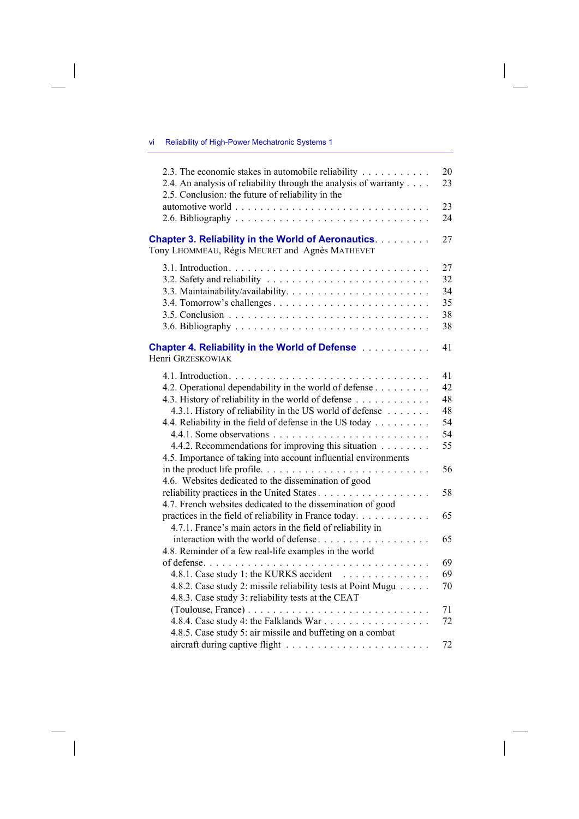## vi Reliability of High-Power Mechatronic Systems 1

| 2.3. The economic stakes in automobile reliability<br>2.4. An analysis of reliability through the analysis of warranty<br>2.5. Conclusion: the future of reliability in the                                                                                                                                                                                                                                                                                                                                           | 20<br>23                                           |
|-----------------------------------------------------------------------------------------------------------------------------------------------------------------------------------------------------------------------------------------------------------------------------------------------------------------------------------------------------------------------------------------------------------------------------------------------------------------------------------------------------------------------|----------------------------------------------------|
|                                                                                                                                                                                                                                                                                                                                                                                                                                                                                                                       | 23<br>24                                           |
| <b>Chapter 3. Reliability in the World of Aeronautics.</b><br>Tony LHOMMEAU, Régis MEURET and Agnès MATHEVET                                                                                                                                                                                                                                                                                                                                                                                                          | 27                                                 |
|                                                                                                                                                                                                                                                                                                                                                                                                                                                                                                                       | 27<br>32<br>34<br>35<br>38<br>38                   |
| <b>Chapter 4. Reliability in the World of Defense Alletterry Chapter 4. Reliability in the World Of Defense</b><br>Henri Grzeskowiak                                                                                                                                                                                                                                                                                                                                                                                  | 41                                                 |
| 4.2. Operational dependability in the world of defense<br>4.3. History of reliability in the world of defense<br>4.3.1. History of reliability in the US world of defense<br>4.4. Reliability in the field of defense in the US today<br>4.4.2. Recommendations for improving this situation<br>4.5. Importance of taking into account influential environments<br>in the product life profile<br>4.6. Websites dedicated to the dissemination of good<br>4.7. French websites dedicated to the dissemination of good | 41<br>42<br>48<br>48<br>54<br>54<br>55<br>56<br>58 |
| practices in the field of reliability in France today.<br>4.7.1. France's main actors in the field of reliability in                                                                                                                                                                                                                                                                                                                                                                                                  | 65                                                 |
| interaction with the world of defense<br>4.8. Reminder of a few real-life examples in the world                                                                                                                                                                                                                                                                                                                                                                                                                       | 65                                                 |
| 4.8.1. Case study 1: the KURKS accident<br>4.8.2. Case study 2: missile reliability tests at Point Mugu<br>4.8.3. Case study 3: reliability tests at the CEAT                                                                                                                                                                                                                                                                                                                                                         | 69<br>69<br>70                                     |
| 4.8.5. Case study 5: air missile and buffeting on a combat                                                                                                                                                                                                                                                                                                                                                                                                                                                            | 71<br>72                                           |
|                                                                                                                                                                                                                                                                                                                                                                                                                                                                                                                       | 72                                                 |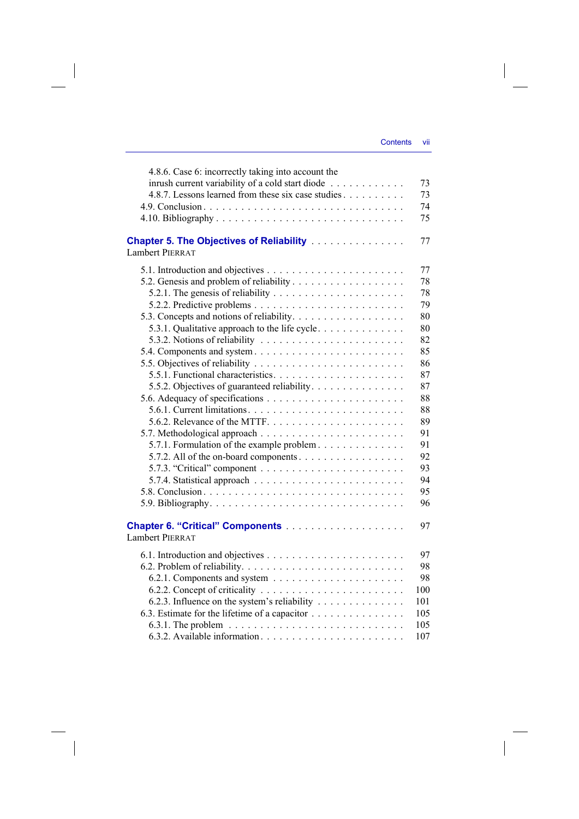| 4.8.6. Case 6: incorrectly taking into account the<br>inrush current variability of a cold start diode | 73  |
|--------------------------------------------------------------------------------------------------------|-----|
| 4.8.7. Lessons learned from these six case studies                                                     | 73  |
|                                                                                                        | 74  |
|                                                                                                        | 75  |
| <b>Chapter 5. The Objectives of Reliability </b><br><b>Lambert PIERRAT</b>                             | 77  |
|                                                                                                        | 77  |
|                                                                                                        | 78  |
|                                                                                                        | 78  |
|                                                                                                        | 79  |
|                                                                                                        | 80  |
| 5.3.1. Qualitative approach to the life cycle.                                                         | 80  |
| 5.3.2. Notions of reliability $\ldots \ldots \ldots \ldots \ldots \ldots \ldots$                       | 82  |
| 5.4. Components and system                                                                             | 85  |
|                                                                                                        | 86  |
|                                                                                                        | 87  |
| 5.5.2. Objectives of guaranteed reliability.                                                           | 87  |
|                                                                                                        | 88  |
|                                                                                                        | 88  |
|                                                                                                        | 89  |
|                                                                                                        | 91  |
| 5.7.1. Formulation of the example problem                                                              | 91  |
| 5.7.2. All of the on-board components.                                                                 | 92  |
|                                                                                                        | 93  |
|                                                                                                        | 94  |
|                                                                                                        | 95  |
|                                                                                                        | 96  |
|                                                                                                        |     |
| <b>Lambert PIERRAT</b>                                                                                 | 97  |
|                                                                                                        | 97  |
|                                                                                                        | 98  |
|                                                                                                        | 98  |
|                                                                                                        | 100 |
| 6.2.3. Influence on the system's reliability                                                           | 101 |
| 6.3. Estimate for the lifetime of a capacitor                                                          | 105 |
|                                                                                                        | 105 |
|                                                                                                        | 107 |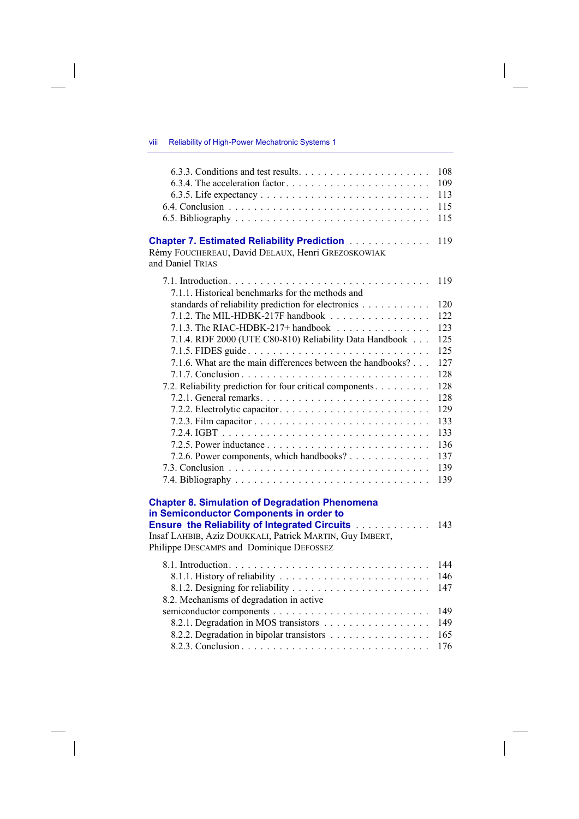## viii Reliability of High-Power Mechatronic Systems 1

 $\overline{\phantom{a}}$ 

|                                                                                                                                                                                                                                                                  | 108 |
|------------------------------------------------------------------------------------------------------------------------------------------------------------------------------------------------------------------------------------------------------------------|-----|
|                                                                                                                                                                                                                                                                  | 109 |
|                                                                                                                                                                                                                                                                  | 113 |
|                                                                                                                                                                                                                                                                  | 115 |
|                                                                                                                                                                                                                                                                  | 115 |
| <b>Chapter 7. Estimated Reliability Prediction Administration</b><br>Rémy FOUCHEREAU, David DELAUX, Henri GREZOSKOWIAK<br>and Daniel TRIAS                                                                                                                       | 119 |
| 7.1.1. Historical benchmarks for the methods and                                                                                                                                                                                                                 | 119 |
| standards of reliability prediction for electronics                                                                                                                                                                                                              | 120 |
| 7.1.2. The MIL-HDBK-217F handbook $\ldots \ldots \ldots \ldots \ldots$                                                                                                                                                                                           | 122 |
| 7.1.3. The RIAC-HDBK-217+ handbook $\ldots \ldots \ldots \ldots$                                                                                                                                                                                                 | 123 |
| 7.1.4. RDF 2000 (UTE C80-810) Reliability Data Handbook                                                                                                                                                                                                          | 125 |
| 7.1.5. FIDES guide                                                                                                                                                                                                                                               | 125 |
| 7.1.6. What are the main differences between the handbooks?                                                                                                                                                                                                      | 127 |
|                                                                                                                                                                                                                                                                  | 128 |
| 7.2. Reliability prediction for four critical components                                                                                                                                                                                                         | 128 |
|                                                                                                                                                                                                                                                                  | 128 |
|                                                                                                                                                                                                                                                                  | 129 |
|                                                                                                                                                                                                                                                                  | 133 |
|                                                                                                                                                                                                                                                                  | 133 |
|                                                                                                                                                                                                                                                                  | 136 |
| 7.2.6. Power components, which handbooks?                                                                                                                                                                                                                        | 137 |
|                                                                                                                                                                                                                                                                  | 139 |
|                                                                                                                                                                                                                                                                  | 139 |
| <b>Chapter 8. Simulation of Degradation Phenomena</b><br>in Semiconductor Components in order to<br><b>Ensure the Reliability of Integrated Circuits</b><br>Insaf LAHBIB, Aziz DOUKKALI, Patrick MARTIN, Guy IMBERT,<br>Philippe DESCAMPS and Dominique DEFOSSEZ | 143 |
|                                                                                                                                                                                                                                                                  | 144 |
|                                                                                                                                                                                                                                                                  | 146 |
|                                                                                                                                                                                                                                                                  | 147 |
| 8.2. Mechanisms of degradation in active                                                                                                                                                                                                                         |     |
|                                                                                                                                                                                                                                                                  | 149 |
| 8.2.1. Degradation in MOS transistors                                                                                                                                                                                                                            | 149 |
| 8.2.2. Degradation in bipolar transistors                                                                                                                                                                                                                        | 165 |
|                                                                                                                                                                                                                                                                  | 176 |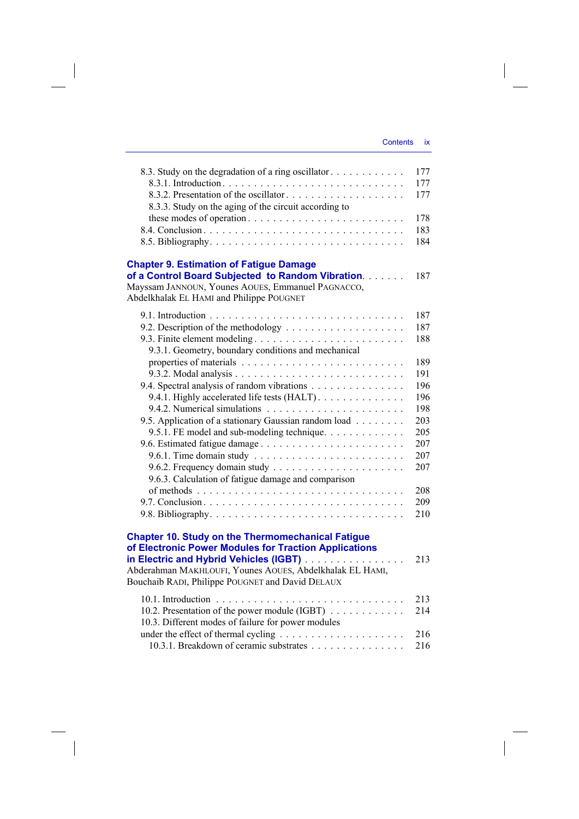$\overline{\phantom{a}}$ 

| 8.3. Study on the degradation of a ring oscillator.<br>8.3.2. Presentation of the oscillator | 177<br>177<br>177 |
|----------------------------------------------------------------------------------------------|-------------------|
| 8.3.3. Study on the aging of the circuit according to                                        |                   |
|                                                                                              | 178               |
|                                                                                              | 183               |
|                                                                                              | 184               |
| <b>Chapter 9. Estimation of Fatigue Damage</b>                                               |                   |
| of a Control Board Subjected to Random Vibration.                                            | 187               |
| Mayssam JANNOUN, Younes AOUES, Emmanuel PAGNACCO,                                            |                   |
| Abdelkhalak EL HAMI and Philippe POUGNET                                                     |                   |
|                                                                                              | 187               |
|                                                                                              | 187               |
| 9.3. Finite element modeling                                                                 | 188               |
| 9.3.1. Geometry, boundary conditions and mechanical                                          |                   |
|                                                                                              | 189               |
|                                                                                              | 191               |
| 9.4. Spectral analysis of random vibrations                                                  | 196               |
| 9.4.1. Highly accelerated life tests (HALT).                                                 | 196               |
|                                                                                              | 198               |
| 9.5. Application of a stationary Gaussian random load                                        | 203               |
| 9.5.1. FE model and sub-modeling technique.                                                  | 205               |
| 9.6. Estimated fatigue damage                                                                | 207               |
|                                                                                              | 207               |
|                                                                                              | 207               |
| 9.6.3. Calculation of fatigue damage and comparison                                          |                   |
|                                                                                              | 208               |
|                                                                                              | 209               |
|                                                                                              | 210               |
| <b>Chapter 10. Study on the Thermomechanical Fatigue</b>                                     |                   |
| of Electronic Power Modules for Traction Applications                                        |                   |
| in Electric and Hybrid Vehicles (IGBT)                                                       | 213               |
| Abderahman MAKHLOUFI, Younes AOUES, Abdelkhalak EL HAMI,                                     |                   |
| Bouchaib RADI, Philippe POUGNET and David DELAUX                                             |                   |
|                                                                                              | 213               |
| 10.2. Presentation of the power module (IGBT)                                                | 214               |
| 10.3. Different modes of failure for power modules                                           |                   |
|                                                                                              | 216               |
| 10.3.1. Breakdown of ceramic substrates                                                      | 216               |

 $\begin{array}{c} \hline \end{array}$ 

 $\begin{array}{c} \hline \end{array}$